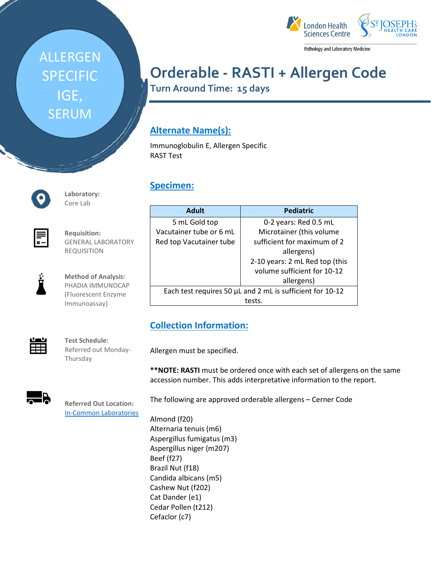# ALLERGEN SPECIFIC IGE, SERUM



Pathology and Laboratory Medicine

## **Orderable - RASTI + Allergen Code**

**Turn Around Time: 15 days**

## **Alternate Name(s):**

Immunoglobulin E, Allergen Specific RAST Test

### **Specimen:**

| <b>Adult</b>                                              | <b>Pediatric</b>               |
|-----------------------------------------------------------|--------------------------------|
| 5 mL Gold top                                             | 0-2 years: Red 0.5 mL          |
| Vacutainer tube or 6 mL                                   | Microtainer (this volume       |
| Red top Vacutainer tube                                   | sufficient for maximum of 2    |
|                                                           | allergens)                     |
|                                                           | 2-10 years: 2 mL Red top (this |
|                                                           | volume sufficient for 10-12    |
|                                                           | allergens)                     |
| Each test requires 50 µL and 2 mL is sufficient for 10-12 |                                |
|                                                           | tests.                         |

## **Collection Information:**

Allergen must be specified.

**\*\*NOTE: RASTI** must be ordered once with each set of allergens on the same accession number. This adds interpretative information to the report.

The following are approved orderable allergens – Cerner Code

Almond (f20) Alternaria tenuis (m6) Aspergillus fumigatus (m3) Aspergillus niger (m207) Beef (f27) Brazil Nut (f18) Candida albicans (m5) Cashew Nut (f202) Cat Dander (e1) Cedar Pollen (t212) Cefaclor (c7)



**Laboratory:** Core Lab

**Requisition:** GENERAL LABORATORY REQUISITION



**Method of Analysis:** PHADIA IMMUNOCAP (Fluorescent Enzyme Immunoassay)

用

**Test Schedule:** Referred out Monday-Thursday

[In-Common Laboratories](https://iclabs.ca/)



**Referred Out Location:**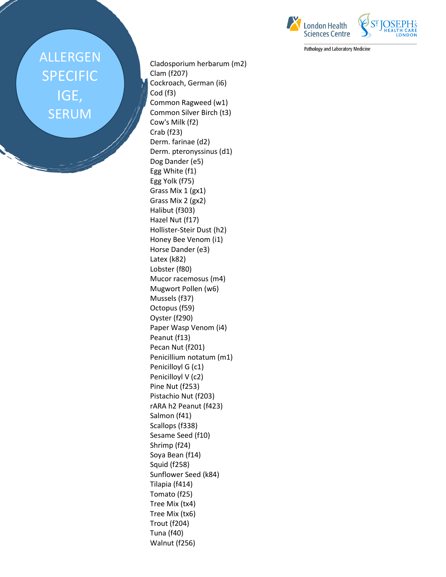## ALLERGEN SPECIFIC IGE, SERUM

Cladosporium herbarum (m2) Clam (f207) Cockroach, German (i6) Cod (f3) Common Ragweed (w1) Common Silver Birch (t3) Cow's Milk (f2) Crab (f23) Derm. farinae (d2) Derm. pteronyssinus (d1) Dog Dander (e5) Egg White (f1) Egg Yolk (f75) Grass Mix 1 (gx1) Grass Mix 2 (gx2) Halibut (f303) Hazel Nut (f17) Hollister-Steir Dust (h2) Honey Bee Venom (i1) Horse Dander (e3) Latex (k82) Lobster (f80) Mucor racemosus (m4) Mugwort Pollen (w6) Mussels (f37) Octopus (f59) Oyster (f290) Paper Wasp Venom (i4) Peanut (f13) Pecan Nut (f201) Penicillium notatum (m1) Penicilloyl G (c1) Penicilloyl V (c2) Pine Nut (f253) Pistachio Nut (f203) rARA h2 Peanut (f423) Salmon (f41) Scallops (f338) Sesame Seed (f10) Shrimp (f24) Soya Bean (f14) Squid (f258) Sunflower Seed (k84) Tilapia (f414) Tomato (f25) Tree Mix (tx4) Tree Mix (tx6) Trout (f204) Tuna (f40) Walnut (f256)



Pathology and Laboratory Medicine